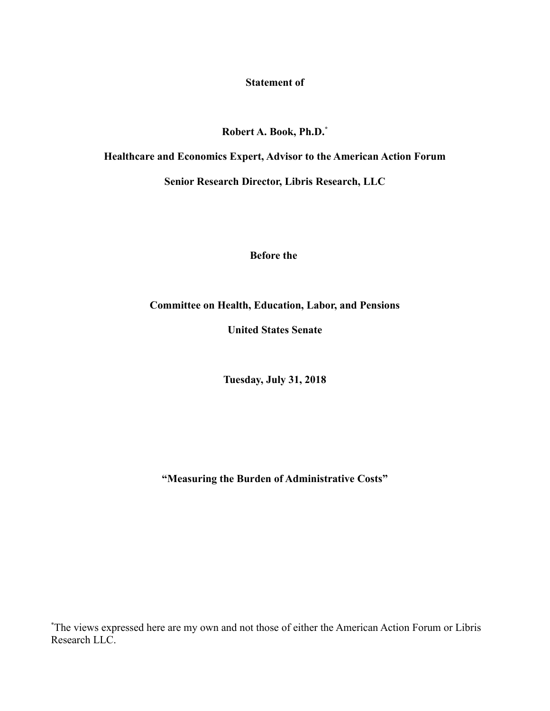**Statement of**

**Robert A. Book, Ph.D.\***

**Healthcare and Economics Expert, Advisor to the American Action Forum Senior Research Director, Libris Research, LLC**

**Before the** 

**Committee on Health, Education, Labor, and Pensions**

**United States Senate**

**Tuesday, July 31, 2018**

**"Measuring the Burden of Administrative Costs"**

\*The views expressed here are my own and not those of either the American Action Forum or Libris Research LLC.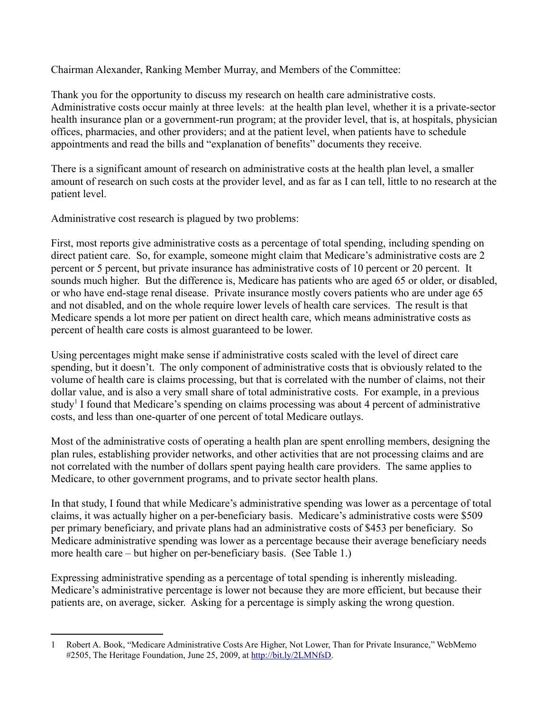Chairman Alexander, Ranking Member Murray, and Members of the Committee:

Thank you for the opportunity to discuss my research on health care administrative costs. Administrative costs occur mainly at three levels: at the health plan level, whether it is a private-sector health insurance plan or a government-run program; at the provider level, that is, at hospitals, physician offices, pharmacies, and other providers; and at the patient level, when patients have to schedule appointments and read the bills and "explanation of benefits" documents they receive.

There is a significant amount of research on administrative costs at the health plan level, a smaller amount of research on such costs at the provider level, and as far as I can tell, little to no research at the patient level.

Administrative cost research is plagued by two problems:

First, most reports give administrative costs as a percentage of total spending, including spending on direct patient care. So, for example, someone might claim that Medicare's administrative costs are 2 percent or 5 percent, but private insurance has administrative costs of 10 percent or 20 percent. It sounds much higher. But the difference is, Medicare has patients who are aged 65 or older, or disabled, or who have end-stage renal disease. Private insurance mostly covers patients who are under age 65 and not disabled, and on the whole require lower levels of health care services. The result is that Medicare spends a lot more per patient on direct health care, which means administrative costs as percent of health care costs is almost guaranteed to be lower.

Using percentages might make sense if administrative costs scaled with the level of direct care spending, but it doesn't. The only component of administrative costs that is obviously related to the volume of health care is claims processing, but that is correlated with the number of claims, not their dollar value, and is also a very small share of total administrative costs. For example, in a previous study<sup>[1](#page-1-0)</sup> I found that Medicare's spending on claims processing was about 4 percent of administrative costs, and less than one-quarter of one percent of total Medicare outlays.

Most of the administrative costs of operating a health plan are spent enrolling members, designing the plan rules, establishing provider networks, and other activities that are not processing claims and are not correlated with the number of dollars spent paying health care providers. The same applies to Medicare, to other government programs, and to private sector health plans.

In that study, I found that while Medicare's administrative spending was lower as a percentage of total claims, it was actually higher on a per-beneficiary basis. Medicare's administrative costs were \$509 per primary beneficiary, and private plans had an administrative costs of \$453 per beneficiary. So Medicare administrative spending was lower as a percentage because their average beneficiary needs more health care – but higher on per-beneficiary basis. (See Table 1.)

Expressing administrative spending as a percentage of total spending is inherently misleading. Medicare's administrative percentage is lower not because they are more efficient, but because their patients are, on average, sicker. Asking for a percentage is simply asking the wrong question.

<span id="page-1-0"></span><sup>1</sup> Robert A. Book, "Medicare Administrative Costs Are Higher, Not Lower, Than for Private Insurance," WebMemo #2505, The Heritage Foundation, June 25, 2009, at [http://bit.ly/2LMNfsD.](http://bit.ly/2LMNfsD)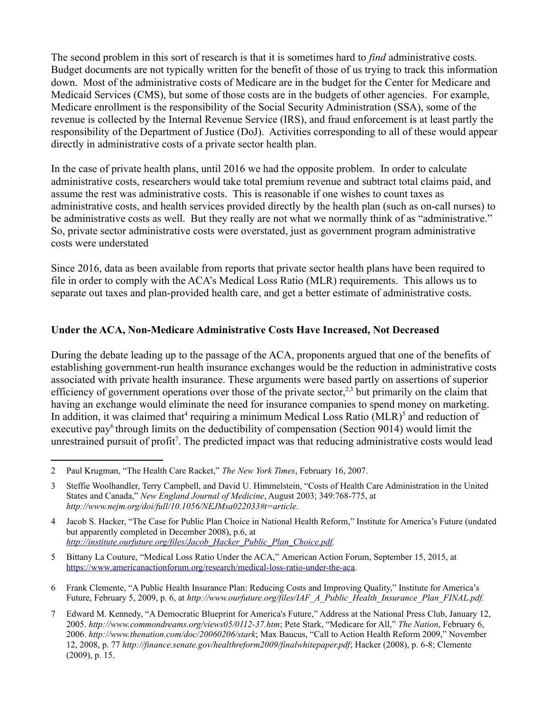The second problem in this sort of research is that it is sometimes hard to *find* administrative costs. Budget documents are not typically written for the benefit of those of us trying to track this information down. Most of the administrative costs of Medicare are in the budget for the Center for Medicare and Medicaid Services (CMS), but some of those costs are in the budgets of other agencies. For example, Medicare enrollment is the responsibility of the Social Security Administration (SSA), some of the revenue is collected by the Internal Revenue Service (IRS), and fraud enforcement is at least partly the responsibility of the Department of Justice (DoJ). Activities corresponding to all of these would appear directly in administrative costs of a private sector health plan.

In the case of private health plans, until 2016 we had the opposite problem. In order to calculate administrative costs, researchers would take total premium revenue and subtract total claims paid, and assume the rest was administrative costs. This is reasonable if one wishes to count taxes as administrative costs, and health services provided directly by the health plan (such as on-call nurses) to be administrative costs as well. But they really are not what we normally think of as "administrative." So, private sector administrative costs were overstated, just as government program administrative costs were understated

Since 2016, data as been available from reports that private sector health plans have been required to file in order to comply with the ACA's Medical Loss Ratio (MLR) requirements. This allows us to separate out taxes and plan-provided health care, and get a better estimate of administrative costs.

# **Under the ACA, Non-Medicare Administrative Costs Have Increased, Not Decreased**

During the debate leading up to the passage of the ACA, proponents argued that one of the benefits of establishing government-run health insurance exchanges would be the reduction in administrative costs associated with private health insurance. These arguments were based partly on assertions of superior efficiency of government operations over those of the private sector,<sup>[2](#page-2-0)[,3](#page-2-1)</sup> but primarily on the claim that having an exchange would eliminate the need for insurance companies to spend money on marketing. In addition, it was claimed that<sup>[4](#page-2-2)</sup> requiring a minimum Medical Loss Ratio  $(MLR)^5$  $(MLR)^5$  and reduction of executive pay<sup>[6](#page-2-4)</sup> through limits on the deductibility of compensation (Section 9014) would limit the unrestrained pursuit of profit<sup>[7](#page-2-5)</sup>. The predicted impact was that reducing administrative costs would lead

<span id="page-2-0"></span><sup>2</sup> Paul Krugman, "The Health Care Racket," *The New York Times*, February 16, 2007.

<span id="page-2-1"></span><sup>3</sup> Steffie Woolhandler, Terry Campbell, and David U. Himmelstein, "Costs of Health Care Administration in the United States and Canada," *New England Journal of Medicine*, August 2003; 349:768-775, at *http://www.nejm.org/doi/full/10.1056/NEJMsa022033#t=article*.

<span id="page-2-2"></span><sup>4</sup> Jacob S. Hacker, "The Case for Public Plan Choice in National Health Reform," Institute for America's Future (undated but apparently completed in December 2008), p.6, at *[http://institute.ourfuture.org/files/Jacob\\_Hacker\\_Public\\_Plan\\_Choice.pdf.](http://institute.ourfuture.org/files/Jacob_Hacker_Public_Plan_Choice.pdf)*

<span id="page-2-3"></span><sup>5</sup> Bittany La Couture, "Medical Loss Ratio Under the ACA," American Action Forum, September 15, 2015, at [https://www.americanactionforum.org/research/medical-loss-ratio-under-the-aca.](https://www.americanactionforum.org/research/medical-loss-ratio-under-the-aca)

<span id="page-2-4"></span><sup>6</sup> Frank Clemente, "A Public Health Insurance Plan: Reducing Costs and Improving Quality," Institute for America's Future, February 5, 2009, p. 6, at *http://www.ourfuture.org/files/IAF\_A\_Public\_Health\_Insurance\_Plan\_FINAL.pdf.*

<span id="page-2-5"></span><sup>7</sup> Edward M. Kennedy, "A Democratic Blueprint for America's Future," Address at the National Press Club, January 12, 2005. *http://www.commondreams.org/views05/0112-37.htm*; Pete Stark, "Medicare for All," *The Nation*, February 6, 2006. *http://www.thenation.com/doc/20060206/stark*; Max Baucus, "Call to Action Health Reform 2009," November 12, 2008, p. 77 *http://finance.senate.gov/healthreform2009/finalwhitepaper.pdf*; Hacker (2008), p. 6-8; Clemente (2009), p. 15.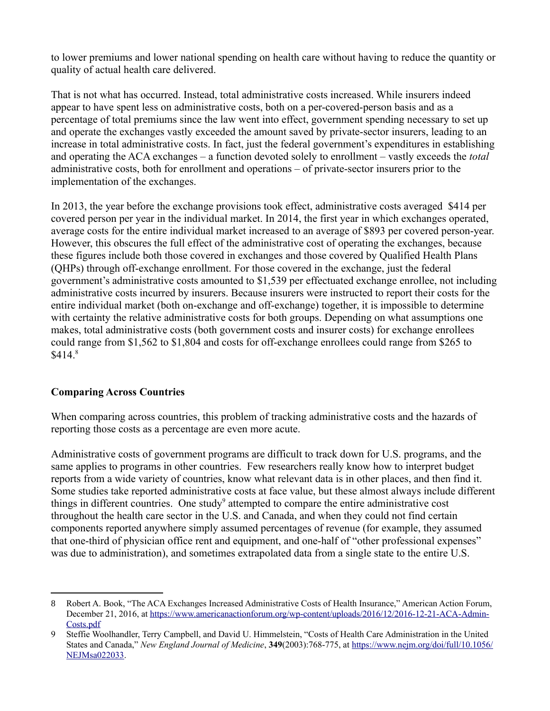to lower premiums and lower national spending on health care without having to reduce the quantity or quality of actual health care delivered.

That is not what has occurred. Instead, total administrative costs increased. While insurers indeed appear to have spent less on administrative costs, both on a per-covered-person basis and as a percentage of total premiums since the law went into effect, government spending necessary to set up and operate the exchanges vastly exceeded the amount saved by private-sector insurers, leading to an increase in total administrative costs. In fact, just the federal government's expenditures in establishing and operating the ACA exchanges – a function devoted solely to enrollment – vastly exceeds the *total* administrative costs, both for enrollment and operations – of private-sector insurers prior to the implementation of the exchanges.

In 2013, the year before the exchange provisions took effect, administrative costs averaged \$414 per covered person per year in the individual market. In 2014, the first year in which exchanges operated, average costs for the entire individual market increased to an average of \$893 per covered person-year. However, this obscures the full effect of the administrative cost of operating the exchanges, because these figures include both those covered in exchanges and those covered by Qualified Health Plans (QHPs) through off-exchange enrollment. For those covered in the exchange, just the federal government's administrative costs amounted to \$1,539 per effectuated exchange enrollee, not including administrative costs incurred by insurers. Because insurers were instructed to report their costs for the entire individual market (both on-exchange and off-exchange) together, it is impossible to determine with certainty the relative administrative costs for both groups. Depending on what assumptions one makes, total administrative costs (both government costs and insurer costs) for exchange enrollees could range from \$1,562 to \$1,804 and costs for off-exchange enrollees could range from \$265 to  $$414<sup>8</sup>$  $$414<sup>8</sup>$  $$414<sup>8</sup>$ 

# **Comparing Across Countries**

When comparing across countries, this problem of tracking administrative costs and the hazards of reporting those costs as a percentage are even more acute.

Administrative costs of government programs are difficult to track down for U.S. programs, and the same applies to programs in other countries. Few researchers really know how to interpret budget reports from a wide variety of countries, know what relevant data is in other places, and then find it. Some studies take reported administrative costs at face value, but these almost always include different things in different countries. One study<sup>[9](#page-3-1)</sup> attempted to compare the entire administrative cost throughout the health care sector in the U.S. and Canada, and when they could not find certain components reported anywhere simply assumed percentages of revenue (for example, they assumed that one-third of physician office rent and equipment, and one-half of "other professional expenses" was due to administration), and sometimes extrapolated data from a single state to the entire U.S.

<span id="page-3-0"></span><sup>8</sup> Robert A. Book, "The ACA Exchanges Increased Administrative Costs of Health Insurance," American Action Forum, December 21, 2016, at [https://www.americanactionforum.org/wp-content/uploads/2016/12/2016-12-21-ACA-Admin-](https://www.americanactionforum.org/wp-content/uploads/2016/12/2016-12-21-ACA-Admin-Costs.pdf)[Costs.pdf](https://www.americanactionforum.org/wp-content/uploads/2016/12/2016-12-21-ACA-Admin-Costs.pdf)

<span id="page-3-1"></span><sup>9</sup> Steffie Woolhandler, Terry Campbell, and David U. Himmelstein, "Costs of Health Care Administration in the United States and Canada," *New England Journal of Medicine*, **349**(2003):768-775, at [https://www.nejm.org/doi/full/10.1056/](https://www.nejm.org/doi/full/10.1056/NEJMsa022033) [NEJMsa022033.](https://www.nejm.org/doi/full/10.1056/NEJMsa022033)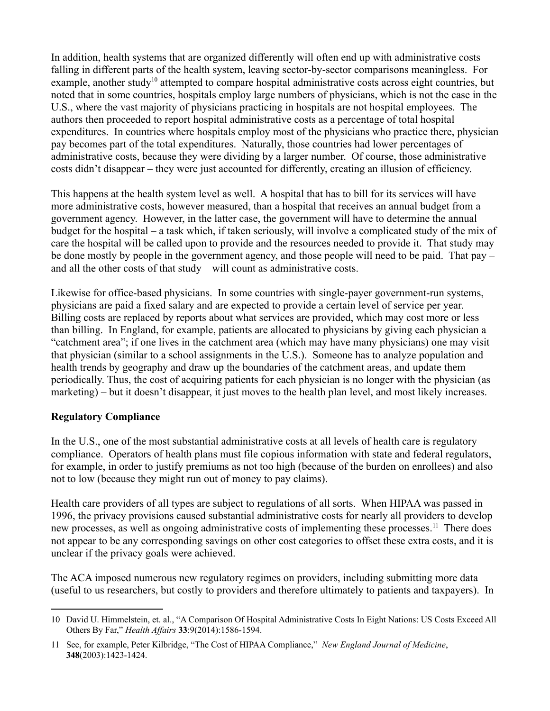In addition, health systems that are organized differently will often end up with administrative costs falling in different parts of the health system, leaving sector-by-sector comparisons meaningless. For example, another study<sup>[10](#page-4-0)</sup> attempted to compare hospital administrative costs across eight countries, but noted that in some countries, hospitals employ large numbers of physicians, which is not the case in the U.S., where the vast majority of physicians practicing in hospitals are not hospital employees. The authors then proceeded to report hospital administrative costs as a percentage of total hospital expenditures. In countries where hospitals employ most of the physicians who practice there, physician pay becomes part of the total expenditures. Naturally, those countries had lower percentages of administrative costs, because they were dividing by a larger number. Of course, those administrative costs didn't disappear – they were just accounted for differently, creating an illusion of efficiency.

This happens at the health system level as well. A hospital that has to bill for its services will have more administrative costs, however measured, than a hospital that receives an annual budget from a government agency. However, in the latter case, the government will have to determine the annual budget for the hospital – a task which, if taken seriously, will involve a complicated study of the mix of care the hospital will be called upon to provide and the resources needed to provide it. That study may be done mostly by people in the government agency, and those people will need to be paid. That pay – and all the other costs of that study – will count as administrative costs.

Likewise for office-based physicians. In some countries with single-payer government-run systems, physicians are paid a fixed salary and are expected to provide a certain level of service per year. Billing costs are replaced by reports about what services are provided, which may cost more or less than billing. In England, for example, patients are allocated to physicians by giving each physician a "catchment area"; if one lives in the catchment area (which may have many physicians) one may visit that physician (similar to a school assignments in the U.S.). Someone has to analyze population and health trends by geography and draw up the boundaries of the catchment areas, and update them periodically. Thus, the cost of acquiring patients for each physician is no longer with the physician (as marketing) – but it doesn't disappear, it just moves to the health plan level, and most likely increases.

# **Regulatory Compliance**

In the U.S., one of the most substantial administrative costs at all levels of health care is regulatory compliance. Operators of health plans must file copious information with state and federal regulators, for example, in order to justify premiums as not too high (because of the burden on enrollees) and also not to low (because they might run out of money to pay claims).

Health care providers of all types are subject to regulations of all sorts. When HIPAA was passed in 1996, the privacy provisions caused substantial administrative costs for nearly all providers to develop new processes, as well as ongoing administrative costs of implementing these processes.<sup>[11](#page-4-1)</sup> There does not appear to be any corresponding savings on other cost categories to offset these extra costs, and it is unclear if the privacy goals were achieved.

The ACA imposed numerous new regulatory regimes on providers, including submitting more data (useful to us researchers, but costly to providers and therefore ultimately to patients and taxpayers). In

<span id="page-4-0"></span><sup>10</sup> David U. Himmelstein, et. al., "A Comparison Of Hospital Administrative Costs In Eight Nations: US Costs Exceed All Others By Far," *Health Affairs* **33**:9(2014):1586-1594.

<span id="page-4-1"></span><sup>11</sup> See, for example, Peter Kilbridge, "The Cost of HIPAA Compliance," *New England Journal of Medicine*, **348**(2003):1423-1424.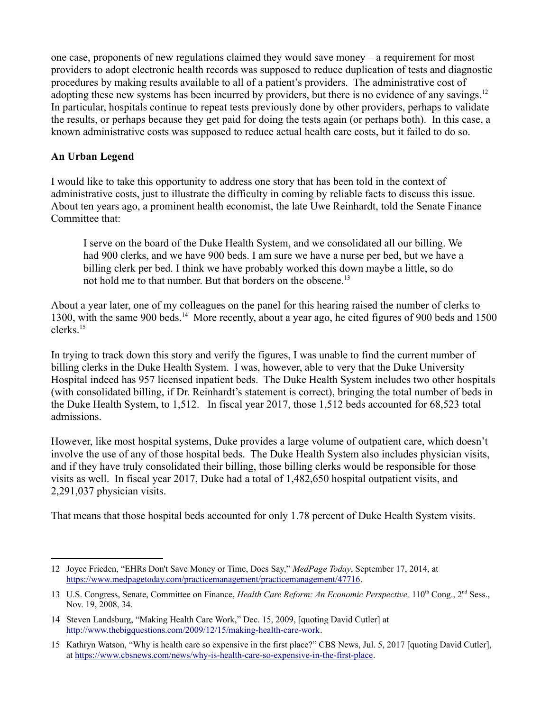one case, proponents of new regulations claimed they would save money – a requirement for most providers to adopt electronic health records was supposed to reduce duplication of tests and diagnostic procedures by making results available to all of a patient's providers. The administrative cost of adopting these new systems has been incurred by providers, but there is no evidence of any savings.<sup>[12](#page-5-0)</sup> In particular, hospitals continue to repeat tests previously done by other providers, perhaps to validate the results, or perhaps because they get paid for doing the tests again (or perhaps both). In this case, a known administrative costs was supposed to reduce actual health care costs, but it failed to do so.

### **An Urban Legend**

I would like to take this opportunity to address one story that has been told in the context of administrative costs, just to illustrate the difficulty in coming by reliable facts to discuss this issue. About ten years ago, a prominent health economist, the late Uwe Reinhardt, told the Senate Finance Committee that:

I serve on the board of the Duke Health System, and we consolidated all our billing. We had 900 clerks, and we have 900 beds. I am sure we have a nurse per bed, but we have a billing clerk per bed. I think we have probably worked this down maybe a little, so do not hold me to that number. But that borders on the obscene.<sup>[13](#page-5-1)</sup>

About a year later, one of my colleagues on the panel for this hearing raised the number of clerks to 1300, with the same 900 beds.<sup>[14](#page-5-2)</sup> More recently, about a year ago, he cited figures of 900 beds and 1500 clerks.[15](#page-5-3)

In trying to track down this story and verify the figures, I was unable to find the current number of billing clerks in the Duke Health System. I was, however, able to very that the Duke University Hospital indeed has 957 licensed inpatient beds. The Duke Health System includes two other hospitals (with consolidated billing, if Dr. Reinhardt's statement is correct), bringing the total number of beds in the Duke Health System, to 1,512. In fiscal year 2017, those 1,512 beds accounted for 68,523 total admissions.

However, like most hospital systems, Duke provides a large volume of outpatient care, which doesn't involve the use of any of those hospital beds. The Duke Health System also includes physician visits, and if they have truly consolidated their billing, those billing clerks would be responsible for those visits as well. In fiscal year 2017, Duke had a total of 1,482,650 hospital outpatient visits, and 2,291,037 physician visits.

That means that those hospital beds accounted for only 1.78 percent of Duke Health System visits.

<span id="page-5-0"></span><sup>12</sup> Joyce Frieden, "EHRs Don't Save Money or Time, Docs Say," *MedPage Today*, September 17, 2014, at [https://www.medpagetoday.com/practicemanagement/practicemanagement/47716.](https://www.medpagetoday.com/practicemanagement/practicemanagement/47716)

<span id="page-5-1"></span><sup>13</sup> U.S. Congress, Senate, Committee on Finance, *Health Care Reform: An Economic Perspective*, 110<sup>th</sup> Cong., 2<sup>nd</sup> Sess., Nov. 19, 2008, 34.

<span id="page-5-2"></span><sup>14</sup> Steven Landsburg, "Making Health Care Work," Dec. 15, 2009, [quoting David Cutler] at [http://www.thebigquestions.com/2009/12/15/making-health-care-work.](http://www.thebigquestions.com/2009/12/15/making-health-care-work)

<span id="page-5-3"></span><sup>15</sup> Kathryn Watson, "Why is health care so expensive in the first place?" CBS News, Jul. 5, 2017 [quoting David Cutler], at [https://www.cbsnews.com/news/why-is-health-care-so-expensive-in-the-first-place.](https://www.cbsnews.com/news/why-is-health-care-so-expensive-in-the-first-place)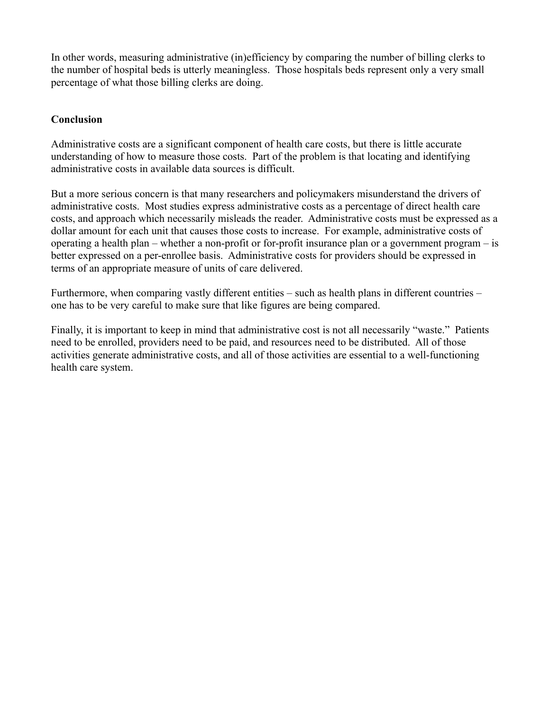In other words, measuring administrative (in)efficiency by comparing the number of billing clerks to the number of hospital beds is utterly meaningless. Those hospitals beds represent only a very small percentage of what those billing clerks are doing.

# **Conclusion**

Administrative costs are a significant component of health care costs, but there is little accurate understanding of how to measure those costs. Part of the problem is that locating and identifying administrative costs in available data sources is difficult.

But a more serious concern is that many researchers and policymakers misunderstand the drivers of administrative costs. Most studies express administrative costs as a percentage of direct health care costs, and approach which necessarily misleads the reader. Administrative costs must be expressed as a dollar amount for each unit that causes those costs to increase. For example, administrative costs of operating a health plan – whether a non-profit or for-profit insurance plan or a government program – is better expressed on a per-enrollee basis. Administrative costs for providers should be expressed in terms of an appropriate measure of units of care delivered.

Furthermore, when comparing vastly different entities – such as health plans in different countries – one has to be very careful to make sure that like figures are being compared.

Finally, it is important to keep in mind that administrative cost is not all necessarily "waste." Patients need to be enrolled, providers need to be paid, and resources need to be distributed. All of those activities generate administrative costs, and all of those activities are essential to a well-functioning health care system.